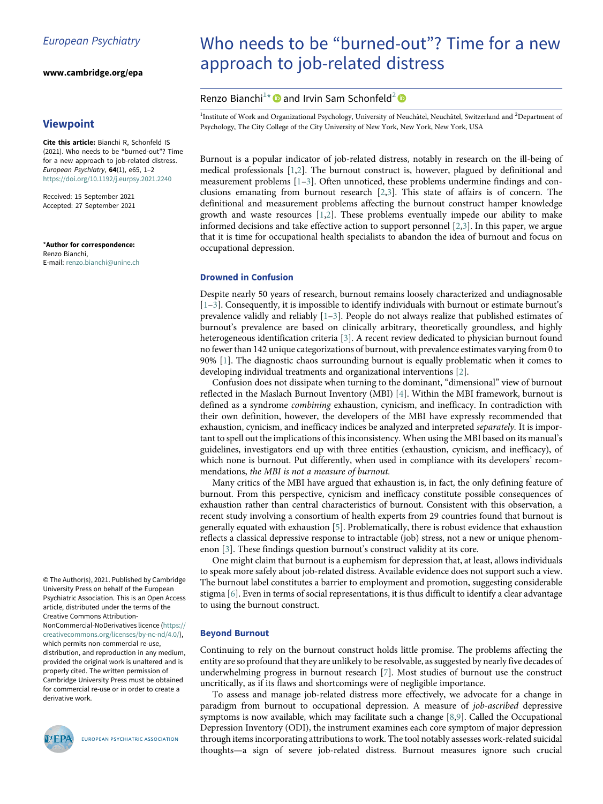www.cambridge.org/epa

### <span id="page-0-1"></span><span id="page-0-0"></span>Viewpoint

Cite this article: Bianchi R, Schonfeld IS (2021). Who needs to be "burned-out"? Time for a new approach to job-related distress. European Psychiatry, 64(1), e65, 1–2 <https://doi.org/10.1192/j.eurpsy.2021.2240>

Received: 15 September 2021 Accepted: 27 September 2021

\*Author for correspondence: Renzo Bianchi, E-mail: [renzo.bianchi@unine.ch](mailto:renzo.bianchi@unine.ch)

© The Author(s), 2021. Published by Cambridge University Press on behalf of the European Psychiatric Association. This is an Open Access article, distributed under the terms of the Creative Commons Attribution-NonCommercial-NoDerivatives licence [\(https://](https://creativecommons.org/licenses/by-nc-nd/4.0/)

[creativecommons.org/licenses/by-nc-nd/4.0/](https://creativecommons.org/licenses/by-nc-nd/4.0/)), which permits non-commercial re-use, distribution, and reproduction in any medium, provided the original work is unaltered and is properly cited. The written permission of Cambridge University Press must be obtained for commercial re-use or in order to create a derivative work.



EUROPEAN PSYCHIATRIC ASSOCIATION

# Who needs to be "burned-out"? Time for a new approach to job-related distress

## Renzo Bianchi<sup>[1](#page-0-0)[\\*](#page-0-1)</sup> and Irvin Sam Schonfeld<sup>[2](#page-0-0)</sup>

<sup>1</sup>Institute of Work and Organizational Psychology, University of Neuchâtel, Neuchâtel, Switzerland and <sup>2</sup>Department of Psychology, The City College of the City University of New York, New York, New York, USA

Burnout is a popular indicator of job-related distress, notably in research on the ill-being of medical professionals [[1](#page-1-0)[,2](#page-1-1)]. The burnout construct is, however, plagued by definitional and measurement problems [\[1](#page-1-0)–[3](#page-1-2)]. Often unnoticed, these problems undermine findings and conclusions emanating from burnout research [[2](#page-1-1)[,3\]](#page-1-2). This state of affairs is of concern. The definitional and measurement problems affecting the burnout construct hamper knowledge growth and waste resources [[1](#page-1-0)[,2\]](#page-1-1). These problems eventually impede our ability to make informed decisions and take effective action to support personnel [\[2,](#page-1-1)[3](#page-1-2)]. In this paper, we argue that it is time for occupational health specialists to abandon the idea of burnout and focus on occupational depression.

#### Drowned in Confusion

Despite nearly 50 years of research, burnout remains loosely characterized and undiagnosable [[1](#page-1-0)–[3\]](#page-1-2). Consequently, it is impossible to identify individuals with burnout or estimate burnout's prevalence validly and reliably  $[1-3]$  $[1-3]$  $[1-3]$  $[1-3]$ . People do not always realize that published estimates of burnout's prevalence are based on clinically arbitrary, theoretically groundless, and highly heterogeneous identification criteria [[3](#page-1-2)]. A recent review dedicated to physician burnout found no fewer than 142 unique categorizations of burnout, with prevalence estimates varying from 0 to 90% [\[1\]](#page-1-0). The diagnostic chaos surrounding burnout is equally problematic when it comes to developing individual treatments and organizational interventions [\[2](#page-1-1)].

Confusion does not dissipate when turning to the dominant, "dimensional" view of burnout reflected in the Maslach Burnout Inventory (MBI) [\[4\]](#page-1-3). Within the MBI framework, burnout is defined as a syndrome combining exhaustion, cynicism, and inefficacy. In contradiction with their own definition, however, the developers of the MBI have expressly recommended that exhaustion, cynicism, and inefficacy indices be analyzed and interpreted separately. It is important to spell out the implications of this inconsistency. When using the MBI based on its manual's guidelines, investigators end up with three entities (exhaustion, cynicism, and inefficacy), of which none is burnout. Put differently, when used in compliance with its developers' recommendations, the MBI is not a measure of burnout.

Many critics of the MBI have argued that exhaustion is, in fact, the only defining feature of burnout. From this perspective, cynicism and inefficacy constitute possible consequences of exhaustion rather than central characteristics of burnout. Consistent with this observation, a recent study involving a consortium of health experts from 29 countries found that burnout is generally equated with exhaustion [\[5\]](#page-1-4). Problematically, there is robust evidence that exhaustion reflects a classical depressive response to intractable (job) stress, not a new or unique phenomenon [\[3\]](#page-1-2). These findings question burnout's construct validity at its core.

One might claim that burnout is a euphemism for depression that, at least, allows individuals to speak more safely about job-related distress. Available evidence does not support such a view. The burnout label constitutes a barrier to employment and promotion, suggesting considerable stigma [[6](#page-1-5)]. Even in terms of social representations, it is thus difficult to identify a clear advantage to using the burnout construct.

#### Beyond Burnout

Continuing to rely on the burnout construct holds little promise. The problems affecting the entity are so profound that they are unlikely to be resolvable, as suggested by nearly five decades of underwhelming progress in burnout research [\[7\]](#page-1-6). Most studies of burnout use the construct uncritically, as if its flaws and shortcomings were of negligible importance.

To assess and manage job-related distress more effectively, we advocate for a change in paradigm from burnout to occupational depression. A measure of job-ascribed depressive symptoms is now available, which may facilitate such a change [\[8,](#page-1-7)[9](#page-1-8)]. Called the Occupational Depression Inventory (ODI), the instrument examines each core symptom of major depression through items incorporating attributions to work. The tool notably assesses work-related suicidal thoughts—a sign of severe job-related distress. Burnout measures ignore such crucial